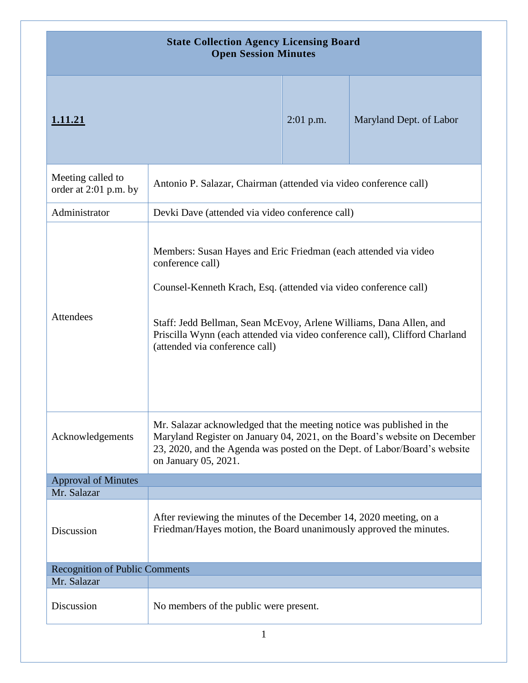| <b>State Collection Agency Licensing Board</b><br><b>Open Session Minutes</b> |                                                                                                                                                                                                                                                                                                                                                |                                                 |                         |
|-------------------------------------------------------------------------------|------------------------------------------------------------------------------------------------------------------------------------------------------------------------------------------------------------------------------------------------------------------------------------------------------------------------------------------------|-------------------------------------------------|-------------------------|
| 1.11.21                                                                       |                                                                                                                                                                                                                                                                                                                                                | $2:01$ p.m.                                     | Maryland Dept. of Labor |
| Meeting called to<br>order at 2:01 p.m. by                                    | Antonio P. Salazar, Chairman (attended via video conference call)                                                                                                                                                                                                                                                                              |                                                 |                         |
| Administrator                                                                 |                                                                                                                                                                                                                                                                                                                                                | Devki Dave (attended via video conference call) |                         |
| Attendees                                                                     | Members: Susan Hayes and Eric Friedman (each attended via video<br>conference call)<br>Counsel-Kenneth Krach, Esq. (attended via video conference call)<br>Staff: Jedd Bellman, Sean McEvoy, Arlene Williams, Dana Allen, and<br>Priscilla Wynn (each attended via video conference call), Clifford Charland<br>(attended via conference call) |                                                 |                         |
| Acknowledgements                                                              | Mr. Salazar acknowledged that the meeting notice was published in the<br>Maryland Register on January 04, 2021, on the Board's website on December<br>23, 2020, and the Agenda was posted on the Dept. of Labor/Board's website<br>on January 05, 2021.                                                                                        |                                                 |                         |
| <b>Approval of Minutes</b>                                                    |                                                                                                                                                                                                                                                                                                                                                |                                                 |                         |
| Mr. Salazar<br>Discussion                                                     | After reviewing the minutes of the December 14, 2020 meeting, on a<br>Friedman/Hayes motion, the Board unanimously approved the minutes.                                                                                                                                                                                                       |                                                 |                         |
| <b>Recognition of Public Comments</b>                                         |                                                                                                                                                                                                                                                                                                                                                |                                                 |                         |
| Mr. Salazar                                                                   |                                                                                                                                                                                                                                                                                                                                                |                                                 |                         |
| Discussion                                                                    | No members of the public were present.                                                                                                                                                                                                                                                                                                         |                                                 |                         |
| 1                                                                             |                                                                                                                                                                                                                                                                                                                                                |                                                 |                         |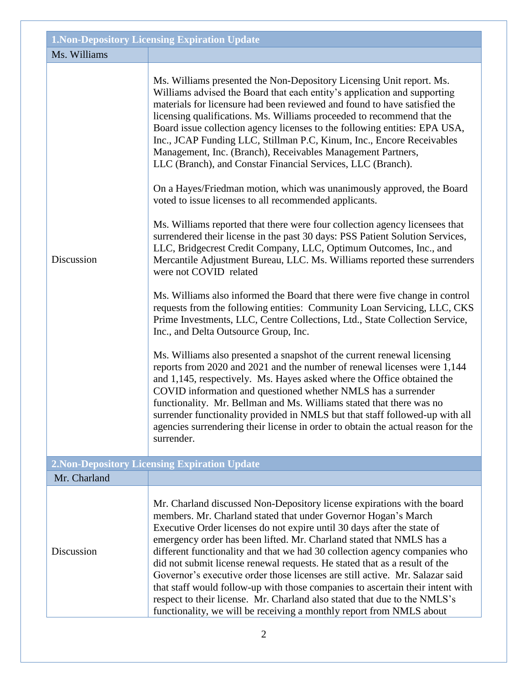|              | <b>1. Non-Depository Licensing Expiration Update</b>                                                                                                                                                                                                                                                                                                                                                                                                                                                                                                                                                                                                                                                                                                                                                                                                                                                                                                                                                                                                                                                                                                                                                                                                                                                                                                                                                                                                                                                                                                                                                                                                                                                                                                                                                                                                                                                                       |
|--------------|----------------------------------------------------------------------------------------------------------------------------------------------------------------------------------------------------------------------------------------------------------------------------------------------------------------------------------------------------------------------------------------------------------------------------------------------------------------------------------------------------------------------------------------------------------------------------------------------------------------------------------------------------------------------------------------------------------------------------------------------------------------------------------------------------------------------------------------------------------------------------------------------------------------------------------------------------------------------------------------------------------------------------------------------------------------------------------------------------------------------------------------------------------------------------------------------------------------------------------------------------------------------------------------------------------------------------------------------------------------------------------------------------------------------------------------------------------------------------------------------------------------------------------------------------------------------------------------------------------------------------------------------------------------------------------------------------------------------------------------------------------------------------------------------------------------------------------------------------------------------------------------------------------------------------|
| Ms. Williams |                                                                                                                                                                                                                                                                                                                                                                                                                                                                                                                                                                                                                                                                                                                                                                                                                                                                                                                                                                                                                                                                                                                                                                                                                                                                                                                                                                                                                                                                                                                                                                                                                                                                                                                                                                                                                                                                                                                            |
| Discussion   | Ms. Williams presented the Non-Depository Licensing Unit report. Ms.<br>Williams advised the Board that each entity's application and supporting<br>materials for licensure had been reviewed and found to have satisfied the<br>licensing qualifications. Ms. Williams proceeded to recommend that the<br>Board issue collection agency licenses to the following entities: EPA USA,<br>Inc., JCAP Funding LLC, Stillman P.C, Kinum, Inc., Encore Receivables<br>Management, Inc. (Branch), Receivables Management Partners,<br>LLC (Branch), and Constar Financial Services, LLC (Branch).<br>On a Hayes/Friedman motion, which was unanimously approved, the Board<br>voted to issue licenses to all recommended applicants.<br>Ms. Williams reported that there were four collection agency licensees that<br>surrendered their license in the past 30 days: PSS Patient Solution Services,<br>LLC, Bridgecrest Credit Company, LLC, Optimum Outcomes, Inc., and<br>Mercantile Adjustment Bureau, LLC. Ms. Williams reported these surrenders<br>were not COVID related<br>Ms. Williams also informed the Board that there were five change in control<br>requests from the following entities: Community Loan Servicing, LLC, CKS<br>Prime Investments, LLC, Centre Collections, Ltd., State Collection Service,<br>Inc., and Delta Outsource Group, Inc.<br>Ms. Williams also presented a snapshot of the current renewal licensing<br>reports from 2020 and 2021 and the number of renewal licenses were 1,144<br>and 1,145, respectively. Ms. Hayes asked where the Office obtained the<br>COVID information and questioned whether NMLS has a surrender<br>functionality. Mr. Bellman and Ms. Williams stated that there was no<br>surrender functionality provided in NMLS but that staff followed-up with all<br>agencies surrendering their license in order to obtain the actual reason for the<br>surrender. |
|              | <b>2. Non-Depository Licensing Expiration Update</b>                                                                                                                                                                                                                                                                                                                                                                                                                                                                                                                                                                                                                                                                                                                                                                                                                                                                                                                                                                                                                                                                                                                                                                                                                                                                                                                                                                                                                                                                                                                                                                                                                                                                                                                                                                                                                                                                       |
| Mr. Charland |                                                                                                                                                                                                                                                                                                                                                                                                                                                                                                                                                                                                                                                                                                                                                                                                                                                                                                                                                                                                                                                                                                                                                                                                                                                                                                                                                                                                                                                                                                                                                                                                                                                                                                                                                                                                                                                                                                                            |
| Discussion   | Mr. Charland discussed Non-Depository license expirations with the board<br>members. Mr. Charland stated that under Governor Hogan's March<br>Executive Order licenses do not expire until 30 days after the state of<br>emergency order has been lifted. Mr. Charland stated that NMLS has a<br>different functionality and that we had 30 collection agency companies who<br>did not submit license renewal requests. He stated that as a result of the<br>Governor's executive order those licenses are still active. Mr. Salazar said<br>that staff would follow-up with those companies to ascertain their intent with<br>respect to their license. Mr. Charland also stated that due to the NMLS's<br>functionality, we will be receiving a monthly report from NMLS about                                                                                                                                                                                                                                                                                                                                                                                                                                                                                                                                                                                                                                                                                                                                                                                                                                                                                                                                                                                                                                                                                                                                           |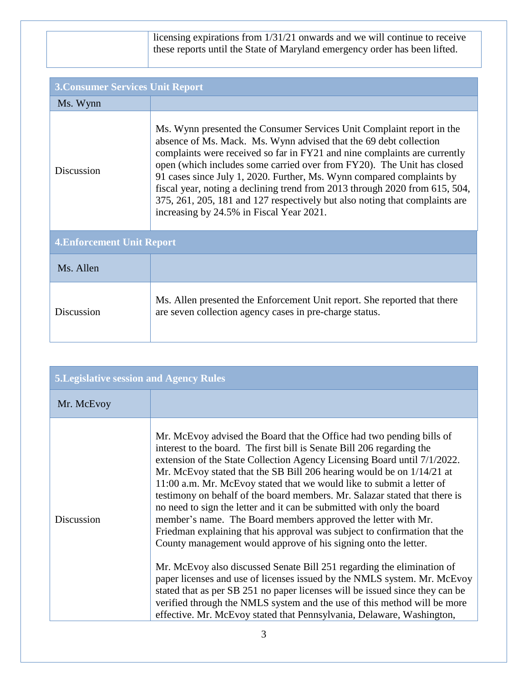licensing expirations from 1/31/21 onwards and we will continue to receive these reports until the State of Maryland emergency order has been lifted.

| <b>3. Consumer Services Unit Report</b> |                                                                                                                                                                                                                                                                                                                                                                                                                                                                                                                                                                                      |
|-----------------------------------------|--------------------------------------------------------------------------------------------------------------------------------------------------------------------------------------------------------------------------------------------------------------------------------------------------------------------------------------------------------------------------------------------------------------------------------------------------------------------------------------------------------------------------------------------------------------------------------------|
| Ms. Wynn                                |                                                                                                                                                                                                                                                                                                                                                                                                                                                                                                                                                                                      |
| Discussion                              | Ms. Wynn presented the Consumer Services Unit Complaint report in the<br>absence of Ms. Mack. Ms. Wynn advised that the 69 debt collection<br>complaints were received so far in FY21 and nine complaints are currently<br>open (which includes some carried over from FY20). The Unit has closed<br>91 cases since July 1, 2020. Further, Ms. Wynn compared complaints by<br>fiscal year, noting a declining trend from 2013 through 2020 from 615, 504,<br>375, 261, 205, 181 and 127 respectively but also noting that complaints are<br>increasing by 24.5% in Fiscal Year 2021. |
| <b>4. Enforcement Unit Report</b>       |                                                                                                                                                                                                                                                                                                                                                                                                                                                                                                                                                                                      |
| Ms. Allen                               |                                                                                                                                                                                                                                                                                                                                                                                                                                                                                                                                                                                      |
| Discussion                              | Ms. Allen presented the Enforcement Unit report. She reported that there<br>are seven collection agency cases in pre-charge status.                                                                                                                                                                                                                                                                                                                                                                                                                                                  |

| <b>5. Legislative session and Agency Rules</b> |                                                                                                                                                                                                                                                                                                                                                                                                                                                                                                                                                                                                                                                                                                                                                                                                                                                                                                                                                                                                                                                                                                                                                    |
|------------------------------------------------|----------------------------------------------------------------------------------------------------------------------------------------------------------------------------------------------------------------------------------------------------------------------------------------------------------------------------------------------------------------------------------------------------------------------------------------------------------------------------------------------------------------------------------------------------------------------------------------------------------------------------------------------------------------------------------------------------------------------------------------------------------------------------------------------------------------------------------------------------------------------------------------------------------------------------------------------------------------------------------------------------------------------------------------------------------------------------------------------------------------------------------------------------|
| Mr. McEvoy                                     |                                                                                                                                                                                                                                                                                                                                                                                                                                                                                                                                                                                                                                                                                                                                                                                                                                                                                                                                                                                                                                                                                                                                                    |
| Discussion                                     | Mr. McEvoy advised the Board that the Office had two pending bills of<br>interest to the board. The first bill is Senate Bill 206 regarding the<br>extension of the State Collection Agency Licensing Board until 7/1/2022.<br>Mr. McEvoy stated that the SB Bill 206 hearing would be on 1/14/21 at<br>11:00 a.m. Mr. McEvoy stated that we would like to submit a letter of<br>testimony on behalf of the board members. Mr. Salazar stated that there is<br>no need to sign the letter and it can be submitted with only the board<br>member's name. The Board members approved the letter with Mr.<br>Friedman explaining that his approval was subject to confirmation that the<br>County management would approve of his signing onto the letter.<br>Mr. McEvoy also discussed Senate Bill 251 regarding the elimination of<br>paper licenses and use of licenses issued by the NMLS system. Mr. McEvoy<br>stated that as per SB 251 no paper licenses will be issued since they can be<br>verified through the NMLS system and the use of this method will be more<br>effective. Mr. McEvoy stated that Pennsylvania, Delaware, Washington, |